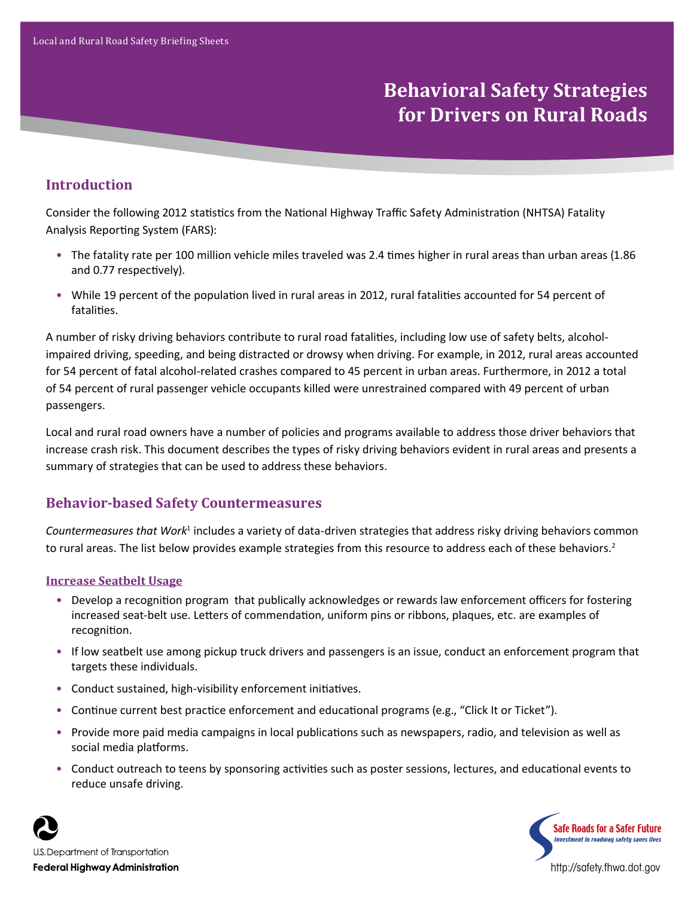# **Behavioral Safety Strategies for Drivers on Rural Roads**

# **Introduction**

Consider the following 2012 statistics from the National Highway Traffic Safety Administration (NHTSA) Fatality Analysis Reporting System (FARS):

- The fatality rate per 100 million vehicle miles traveled was 2.4 times higher in rural areas than urban areas (1.86 and 0.77 respectively).
- While 19 percent of the population lived in rural areas in 2012, rural fatalities accounted for 54 percent of fatalities.

A number of risky driving behaviors contribute to rural road fatalities, including low use of safety belts, alcoholimpaired driving, speeding, and being distracted or drowsy when driving. For example, in 2012, rural areas accounted for 54 percent of fatal alcohol-related crashes compared to 45 percent in urban areas. Furthermore, in 2012 a total of 54 percent of rural passenger vehicle occupants killed were unrestrained compared with 49 percent of urban passengers.

Local and rural road owners have a number of policies and programs available to address those driver behaviors that increase crash risk. This document describes the types of risky driving behaviors evident in rural areas and presents a summary of strategies that can be used to address these behaviors.

# **Behavior-based Safety Countermeasures**

Countermeasures that Work<sup>1</sup> includes a variety of data-driven strategies that address risky driving behaviors common to rural areas. The list below provides example strategies from this resource to address each of these behaviors.<sup>2</sup>

#### **Increase Seatbelt Usage**

- Develop a recognition program that publically acknowledges or rewards law enforcement officers for fostering increased seat-belt use. Letters of commendation, uniform pins or ribbons, plaques, etc. are examples of recognition.
- If low seatbelt use among pickup truck drivers and passengers is an issue, conduct an enforcement program that targets these individuals.
- Conduct sustained, high-visibility enforcement initiatives.
- Continue current best practice enforcement and educational programs (e.g., "Click It or Ticket").
- Provide more paid media campaigns in local publications such as newspapers, radio, and television as well as social media platforms.
- Conduct outreach to teens by sponsoring activities such as poster sessions, lectures, and educational events to reduce unsafe driving.





http://safety.fhwa.dot.gov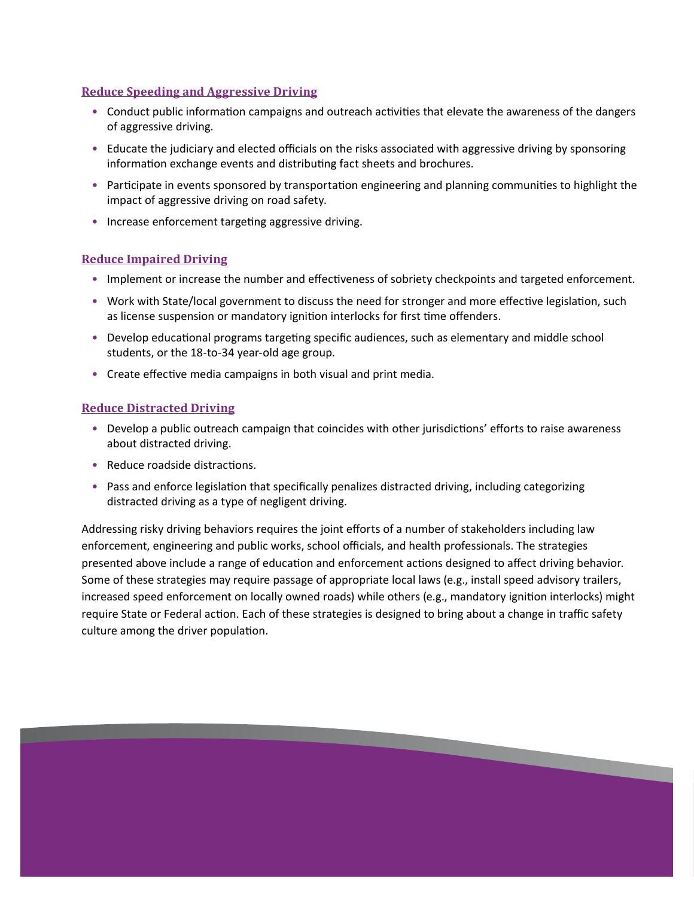#### **Reduce Speeding and Aggressive Driving**

- Conduct public information campaigns and outreach activities that elevate the awareness of the dangers of aggressive driving.
- Educate the judiciary and elected officials on the risks associated with aggressive driving by sponsoring information exchange events and distributing fact sheets and brochures.
- Participate in events sponsored by transportation engineering and planning communities to highlight the impact of aggressive driving on road safety.
- Increase enforcement targeting aggressive driving.

#### **Reduce Impaired Driving**

- Implement or increase the number and effectiveness of sobriety checkpoints and targeted enforcement.
- Work with State/local government to discuss the need for stronger and more effective legislation, such as license suspension or mandatory ignition interlocks for first time offenders.
- Develop educational programs targeting specific audiences, such as elementary and middle school students, or the 18-to-34 year-old age group.
- Create effective media campaigns in both visual and print media.

### **Reduce Distracted Driving**

- Develop a public outreach campaign that coincides with other jurisdictions' efforts to raise awareness about distracted driving.
- Reduce roadside distractions.
- Pass and enforce legislation that specifically penalizes distracted driving, including categorizing distracted driving as a type of negligent driving.

Addressing risky driving behaviors requires the joint efforts of a number of stakeholders including law enforcement, engineering and public works, school officials, and health professionals. The strategies presented above include a range of education and enforcement actions designed to affect driving behavior. Some of these strategies may require passage of appropriate local laws (e.g., install speed advisory trailers, increased speed enforcement on locally owned roads) while others (e.g., mandatory ignition interlocks) might require State or Federal action. Each of these strategies is designed to bring about a change in traffic safety culture among the driver population.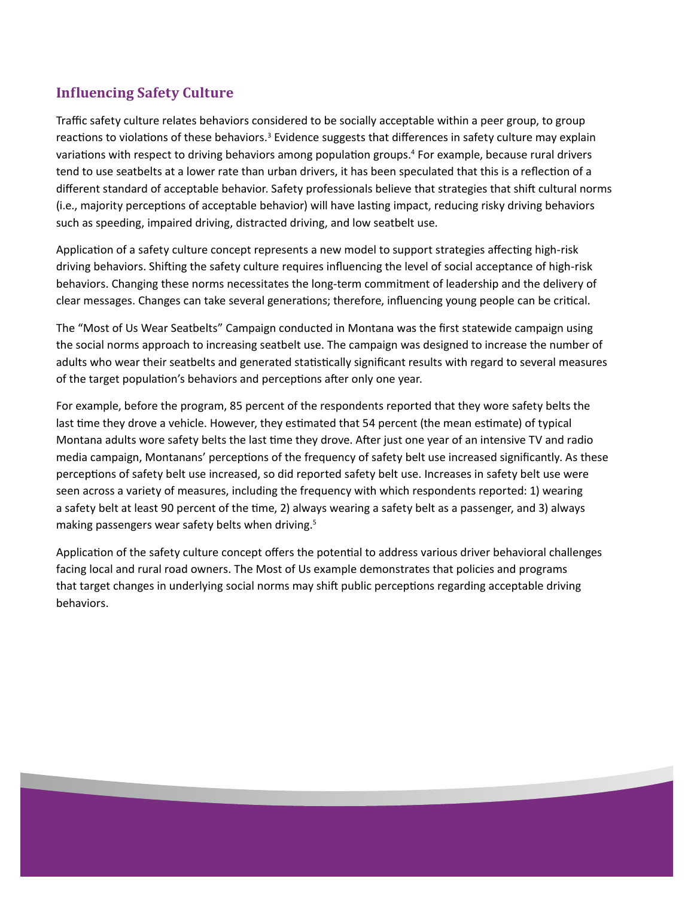# **Influencing Safety Culture**

Traffic safety culture relates behaviors considered to be socially acceptable within a peer group, to group reactions to violations of these behaviors.<sup>3</sup> Evidence suggests that differences in safety culture may explain variations with respect to driving behaviors among population groups.<sup>4</sup> For example, because rural drivers tend to use seatbelts at a lower rate than urban drivers, it has been speculated that this is a reflection of a different standard of acceptable behavior. Safety professionals believe that strategies that shift cultural norms (i.e., majority perceptions of acceptable behavior) will have lasting impact, reducing risky driving behaviors such as speeding, impaired driving, distracted driving, and low seatbelt use.

Application of a safety culture concept represents a new model to support strategies affecting high-risk driving behaviors. Shifting the safety culture requires influencing the level of social acceptance of high-risk behaviors. Changing these norms necessitates the long-term commitment of leadership and the delivery of clear messages. Changes can take several generations; therefore, influencing young people can be critical.

The "Most of Us Wear Seatbelts" Campaign conducted in Montana was the first statewide campaign using the social norms approach to increasing seatbelt use. The campaign was designed to increase the number of adults who wear their seatbelts and generated statistically significant results with regard to several measures of the target population's behaviors and perceptions after only one year.

For example, before the program, 85 percent of the respondents reported that they wore safety belts the last time they drove a vehicle. However, they estimated that 54 percent (the mean estimate) of typical Montana adults wore safety belts the last time they drove. After just one year of an intensive TV and radio media campaign, Montanans' perceptions of the frequency of safety belt use increased significantly. As these perceptions of safety belt use increased, so did reported safety belt use. Increases in safety belt use were seen across a variety of measures, including the frequency with which respondents reported: 1) wearing a safety belt at least 90 percent of the time, 2) always wearing a safety belt as a passenger, and 3) always making passengers wear safety belts when driving.<sup>5</sup>

Application of the safety culture concept offers the potential to address various driver behavioral challenges facing local and rural road owners. The Most of Us example demonstrates that policies and programs that target changes in underlying social norms may shift public perceptions regarding acceptable driving behaviors.